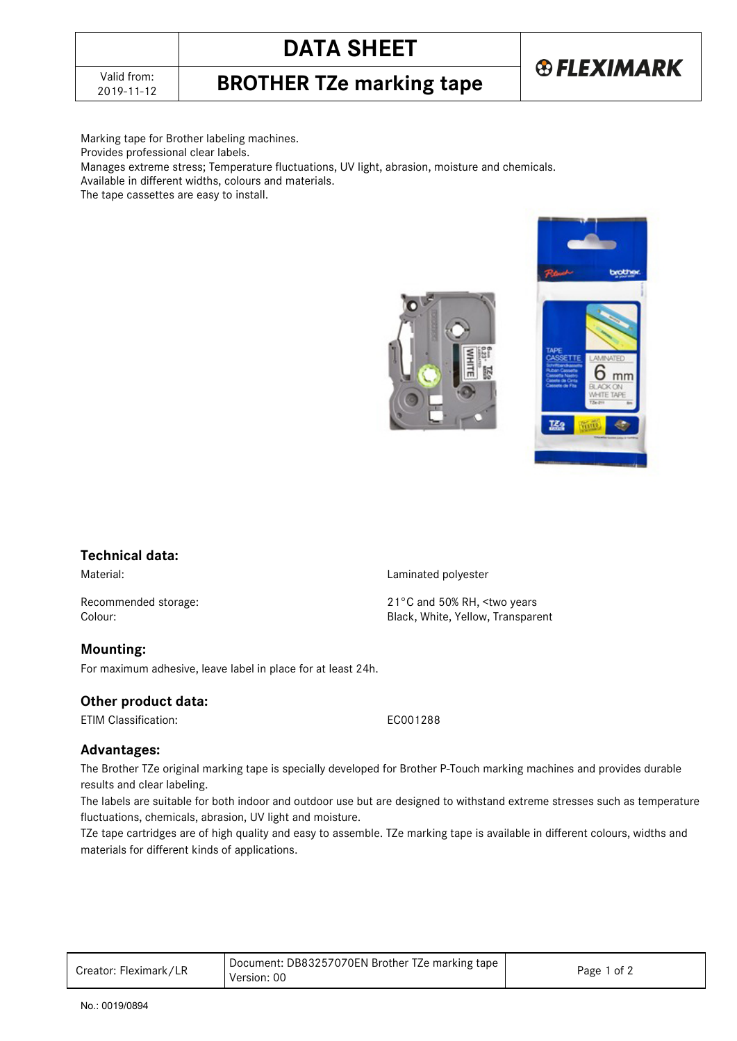# **DATA SHEET**

2019-11-12 **BROTHER TZe marking tape**



Marking tape for Brother labeling machines.

Provides professional clear labels.

Manages extreme stress; Temperature fluctuations, UV light, abrasion, moisture and chemicals.

Available in different widths, colours and materials.

The tape cassettes are easy to install.





### **Technical data:**

Material: Material: Example 2012 12: Material: Laminated polyester

Recommended storage: 21°C and 50% RH, <two years<br>
Colour: 21°C and 50% RH, <two years<br>
Colour:

#### **Mounting:**

For maximum adhesive, leave label in place for at least 24h.

#### **Other product data:**

ETIM Classification: EC001288

Black, White, Yellow, Transparent

#### **Advantages:**

The Brother TZe original marking tape is specially developed for Brother P-Touch marking machines and provides durable results and clear labeling.

The labels are suitable for both indoor and outdoor use but are designed to withstand extreme stresses such as temperature fluctuations, chemicals, abrasion, UV light and moisture.

TZe tape cartridges are of high quality and easy to assemble. TZe marking tape is available in different colours, widths and materials for different kinds of applications.

| Creator: Fleximark/LR | Document: DB83257070EN Brother TZe marking tape<br>Version: 00 | Page 1 of 2 |
|-----------------------|----------------------------------------------------------------|-------------|
|-----------------------|----------------------------------------------------------------|-------------|